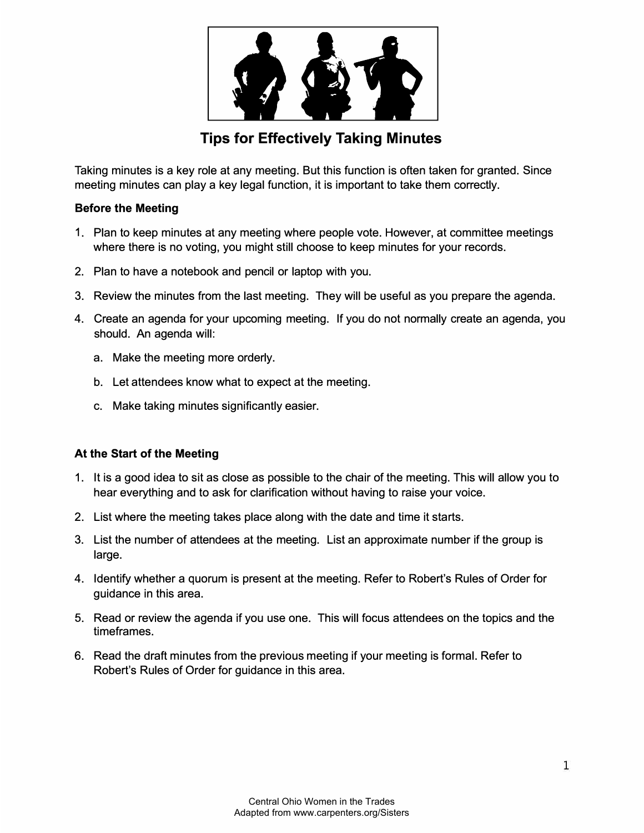

# **Tips for Effectively Taking Minutes**

Taking minutes is a key role at any meeting. But this function is often taken for granted. Since meeting minutes can play a key legal function, it is important to take them correctly.

## **Before the Meeting**

- 1. Plan to keep minutes at any meeting where people vote. However, at committee meetings where there is no voting, you might still choose to keep minutes for your records.
- 2. Plan to have a notebook and pencil or laptop with you.
- 3. Review the minutes from the last meeting. They will be useful as you prepare the agenda.
- 4. Create an agenda for your upcoming meeting. If you do not normally create an agenda, you should. An agenda will:
	- a. Make the meeting more orderly.
	- b. Let attendees know what to expect at the meeting.
	- c. Make taking minutes significantly easier.

#### **At the Start of the Meeting**

- 1. It is a good idea to sit as close as possible to the chair of the meeting. This will allow you to hear everything and to ask for clarification without having to raise your voice.
- 2. List where the meeting takes place along with the date and time it starts.
- 3. List the number of attendees at the meeting. List an approximate number if the group is large.
- 4. Identify whether a quorum is present at the meeting. Refer to Robert's Rules of Order for guidance in this area.
- 5. Read or review the agenda if you use one. This will focus attendees on the topics and the timeframes.
- 6. Read the draft minutes from the previous meeting if your meeting is formal. Refer to Robert's Rules of Order for guidance in this area.